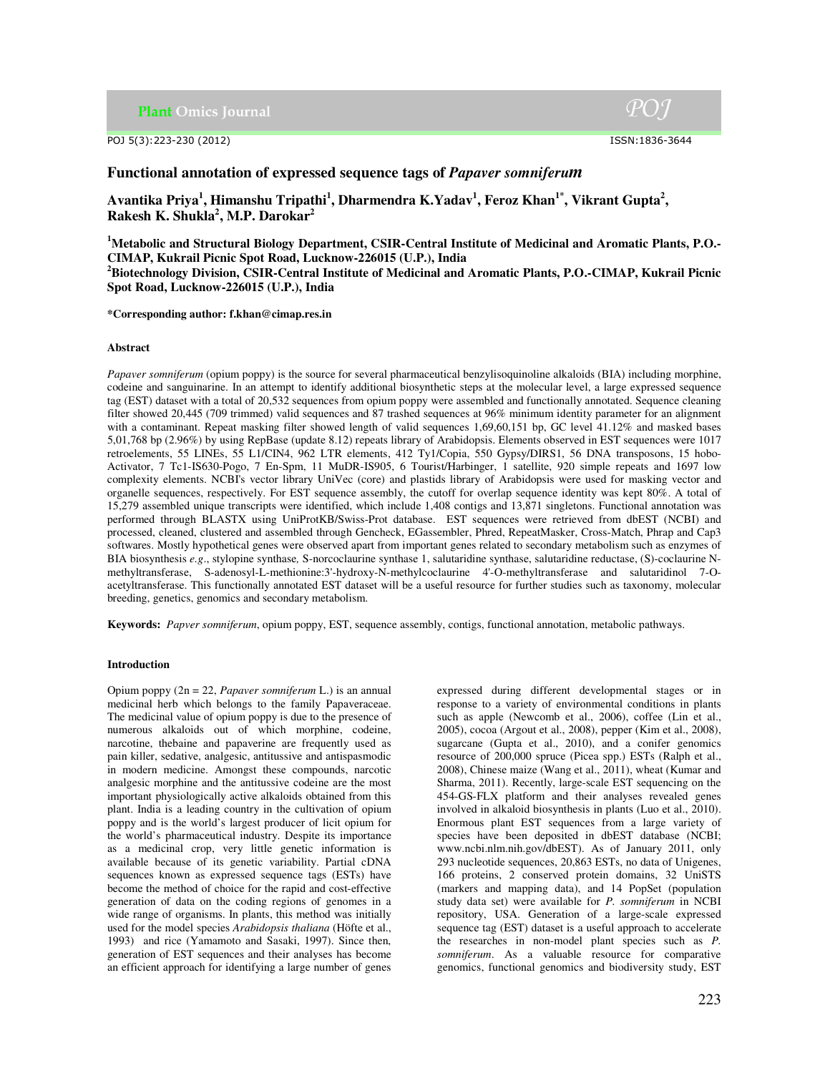**Plant Omics Journal** 

POJ 5(3):223-230 (2012) ISSN:1836-3644

# **Functional annotation of expressed sequence tags of** *Papaver somniferum*

 $\bold{A}$ vantika Priya $^{1}$ , Himanshu Tripathi $^{1}$ , Dharmendra K.Yadav $^{1}$ , Feroz Khan $^{1^*}$ , Vikrant Gupta $^{2}$ , **Rakesh K. Shukla<sup>2</sup> , M.P. Darokar<sup>2</sup>**

**<sup>1</sup>Metabolic and Structural Biology Department, CSIR-Central Institute of Medicinal and Aromatic Plants, P.O.- CIMAP, Kukrail Picnic Spot Road, Lucknow-226015 (U.P.), India <sup>2</sup>Biotechnology Division, CSIR-Central Institute of Medicinal and Aromatic Plants, P.O.-CIMAP, Kukrail Picnic** 

**Spot Road, Lucknow-226015 (U.P.), India** 

**\*Corresponding author: f.khan@cimap.res.in** 

## **Abstract**

*Papaver somniferum* (opium poppy) is the source for several pharmaceutical benzylisoquinoline alkaloids (BIA) including morphine, codeine and sanguinarine. In an attempt to identify additional biosynthetic steps at the molecular level, a large expressed sequence tag (EST) dataset with a total of 20,532 sequences from opium poppy were assembled and functionally annotated. Sequence cleaning filter showed 20,445 (709 trimmed) valid sequences and 87 trashed sequences at 96% minimum identity parameter for an alignment with a contaminant. Repeat masking filter showed length of valid sequences 1,69,60,151 bp, GC level 41.12% and masked bases 5,01,768 bp (2.96%) by using RepBase (update 8.12) repeats library of Arabidopsis. Elements observed in EST sequences were 1017 retroelements, 55 LINEs, 55 L1/CIN4, 962 LTR elements, 412 Ty1/Copia, 550 Gypsy/DIRS1, 56 DNA transposons, 15 hobo-Activator, 7 Tc1-IS630-Pogo, 7 En-Spm, 11 MuDR-IS905, 6 Tourist/Harbinger, 1 satellite, 920 simple repeats and 1697 low complexity elements. NCBI's vector library UniVec (core) and plastids library of Arabidopsis were used for masking vector and organelle sequences, respectively. For EST sequence assembly, the cutoff for overlap sequence identity was kept 80%. A total of 15,279 assembled unique transcripts were identified, which include 1,408 contigs and 13,871 singletons. Functional annotation was performed through BLASTX using UniProtKB/Swiss-Prot database. EST sequences were retrieved from dbEST (NCBI) and processed, cleaned, clustered and assembled through Gencheck, EGassembler, Phred, RepeatMasker, Cross-Match, Phrap and Cap3 softwares. Mostly hypothetical genes were observed apart from important genes related to secondary metabolism such as enzymes of BIA biosynthesis *e.g*., stylopine synthase*,* S-norcoclaurine synthase 1, salutaridine synthase, salutaridine reductase, (S)-coclaurine Nmethyltransferase, S-adenosyl-L-methionine:3'-hydroxy-N-methylcoclaurine 4'-O-methyltransferase and salutaridinol 7-Oacetyltransferase. This functionally annotated EST dataset will be a useful resource for further studies such as taxonomy, molecular breeding, genetics, genomics and secondary metabolism.

**Keywords:** *Papver somniferum*, opium poppy, EST, sequence assembly, contigs, functional annotation, metabolic pathways.

## **Introduction**

Opium poppy (2n = 22, *Papaver somniferum* L.) is an annual medicinal herb which belongs to the family Papaveraceae. The medicinal value of opium poppy is due to the presence of numerous alkaloids out of which morphine, codeine, narcotine, thebaine and papaverine are frequently used as pain killer, sedative, analgesic, antitussive and antispasmodic in modern medicine. Amongst these compounds, narcotic analgesic morphine and the antitussive codeine are the most important physiologically active alkaloids obtained from this plant. India is a leading country in the cultivation of opium poppy and is the world's largest producer of licit opium for the world's pharmaceutical industry. Despite its importance as a medicinal crop, very little genetic information is available because of its genetic variability. Partial cDNA sequences known as expressed sequence tags (ESTs) have become the method of choice for the rapid and cost-effective generation of data on the coding regions of genomes in a wide range of organisms. In plants, this method was initially used for the model species *Arabidopsis thaliana* (Höfte et al., 1993) and rice (Yamamoto and Sasaki, 1997). Since then, generation of EST sequences and their analyses has become an efficient approach for identifying a large number of genes

expressed during different developmental stages or in response to a variety of environmental conditions in plants such as apple (Newcomb et al., 2006), coffee (Lin et al., 2005), cocoa (Argout et al., 2008), pepper (Kim et al., 2008), sugarcane (Gupta et al., 2010), and a conifer genomics resource of 200,000 spruce (Picea spp.) ESTs (Ralph et al., 2008), Chinese maize (Wang et al., 2011), wheat (Kumar and Sharma, 2011). Recently, large-scale EST sequencing on the 454-GS-FLX platform and their analyses revealed genes involved in alkaloid biosynthesis in plants (Luo et al., 2010). Enormous plant EST sequences from a large variety of species have been deposited in dbEST database (NCBI; www.ncbi.nlm.nih.gov/dbEST). As of January 2011, only 293 nucleotide sequences, 20,863 ESTs, no data of Unigenes, 166 proteins, 2 conserved protein domains, 32 UniSTS (markers and mapping data), and 14 PopSet (population study data set) were available for *P. somniferum* in NCBI repository, USA. Generation of a large-scale expressed sequence tag (EST) dataset is a useful approach to accelerate the researches in non-model plant species such as *P. somniferum*. As a valuable resource for comparative genomics, functional genomics and biodiversity study, EST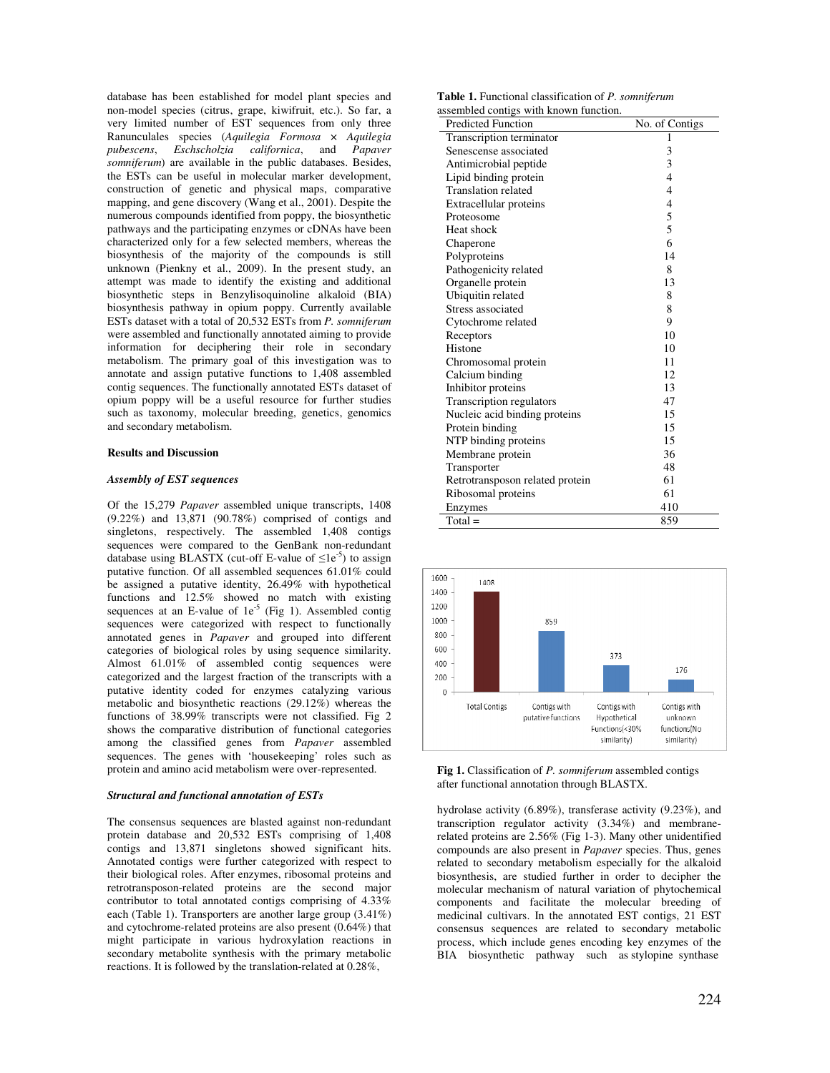database has been established for model plant species and non-model species (citrus, grape, kiwifruit, etc.). So far, a very limited number of EST sequences from only three Ranunculales species (*Aquilegia Formosa* × *Aquilegia pubescens*, *Eschscholzia californica*, and *Papaver somniferum*) are available in the public databases. Besides, the ESTs can be useful in molecular marker development, construction of genetic and physical maps, comparative mapping, and gene discovery (Wang et al., 2001). Despite the numerous compounds identified from poppy, the biosynthetic pathways and the participating enzymes or cDNAs have been characterized only for a few selected members, whereas the biosynthesis of the majority of the compounds is still unknown (Pienkny et al., 2009). In the present study, an attempt was made to identify the existing and additional biosynthetic steps in Benzylisoquinoline alkaloid (BIA) biosynthesis pathway in opium poppy. Currently available ESTs dataset with a total of 20,532 ESTs from *P. somniferum* were assembled and functionally annotated aiming to provide information for deciphering their role in secondary metabolism. The primary goal of this investigation was to annotate and assign putative functions to 1,408 assembled contig sequences. The functionally annotated ESTs dataset of opium poppy will be a useful resource for further studies such as taxonomy, molecular breeding, genetics, genomics and secondary metabolism.

#### **Results and Discussion**

#### *Assembly of EST sequences*

Of the 15,279 *Papaver* assembled unique transcripts, 1408 (9.22%) and 13,871 (90.78%) comprised of contigs and singletons, respectively. The assembled 1,408 contigs sequences were compared to the GenBank non-redundant database using BLASTX (cut-off E-value of  $\leq 1e^{-5}$ ) to assign putative function. Of all assembled sequences 61.01% could be assigned a putative identity, 26.49% with hypothetical functions and 12.5% showed no match with existing sequences at an E-value of  $1e^{-5}$  (Fig 1). Assembled contig sequences were categorized with respect to functionally annotated genes in *Papaver* and grouped into different categories of biological roles by using sequence similarity. Almost 61.01% of assembled contig sequences were categorized and the largest fraction of the transcripts with a putative identity coded for enzymes catalyzing various metabolic and biosynthetic reactions (29.12%) whereas the functions of 38.99% transcripts were not classified. Fig 2 shows the comparative distribution of functional categories among the classified genes from *Papaver* assembled sequences. The genes with 'housekeeping' roles such as protein and amino acid metabolism were over-represented.

## *Structural and functional annotation of ESTs*

The consensus sequences are blasted against non-redundant protein database and 20,532 ESTs comprising of 1,408 contigs and 13,871 singletons showed significant hits. Annotated contigs were further categorized with respect to their biological roles. After enzymes, ribosomal proteins and retrotransposon-related proteins are the second major contributor to total annotated contigs comprising of 4.33% each (Table 1). Transporters are another large group (3.41%) and cytochrome-related proteins are also present (0.64%) that might participate in various hydroxylation reactions in secondary metabolite synthesis with the primary metabolic reactions. It is followed by the translation-related at 0.28%,

**Table 1.** Functional classification of *P. somniferum* assembled contigs with known function.

| <b>Predicted Function</b>       | No. of Contigs |
|---------------------------------|----------------|
| Transcription terminator        | 1              |
| Senescense associated           | 3              |
| Antimicrobial peptide           | 3              |
| Lipid binding protein           | $\overline{4}$ |
| <b>Translation related</b>      | 4              |
| Extracellular proteins          | $\overline{4}$ |
| Proteosome                      | 5              |
| Heat shock                      | 5              |
| Chaperone                       | 6              |
| Polyproteins                    | 14             |
| Pathogenicity related           | 8              |
| Organelle protein               | 13             |
| Ubiquitin related               | 8              |
| Stress associated               | 8              |
| Cytochrome related              | 9              |
| Receptors                       | 10             |
| Histone                         | 10             |
| Chromosomal protein             | 11             |
| Calcium binding                 | 12             |
| Inhibitor proteins              | 13             |
| Transcription regulators        | 47             |
| Nucleic acid binding proteins   | 15             |
| Protein binding                 | 15             |
| NTP binding proteins            | 15             |
| Membrane protein                | 36             |
| Transporter                     | 48             |
| Retrotransposon related protein | 61             |
| Ribosomal proteins              | 61             |
| Enzymes                         | 410            |
| $Total =$                       | 859            |



**Fig 1.** Classification of *P. somniferum* assembled contigs after functional annotation through BLASTX.

hydrolase activity (6.89%), transferase activity (9.23%), and transcription regulator activity (3.34%) and membranerelated proteins are 2.56% (Fig 1-3). Many other unidentified compounds are also present in *Papaver* species. Thus, genes related to secondary metabolism especially for the alkaloid biosynthesis, are studied further in order to decipher the molecular mechanism of natural variation of phytochemical components and facilitate the molecular breeding of medicinal cultivars. In the annotated EST contigs, 21 EST consensus sequences are related to secondary metabolic process, which include genes encoding key enzymes of the BIA biosynthetic pathway such as stylopine synthase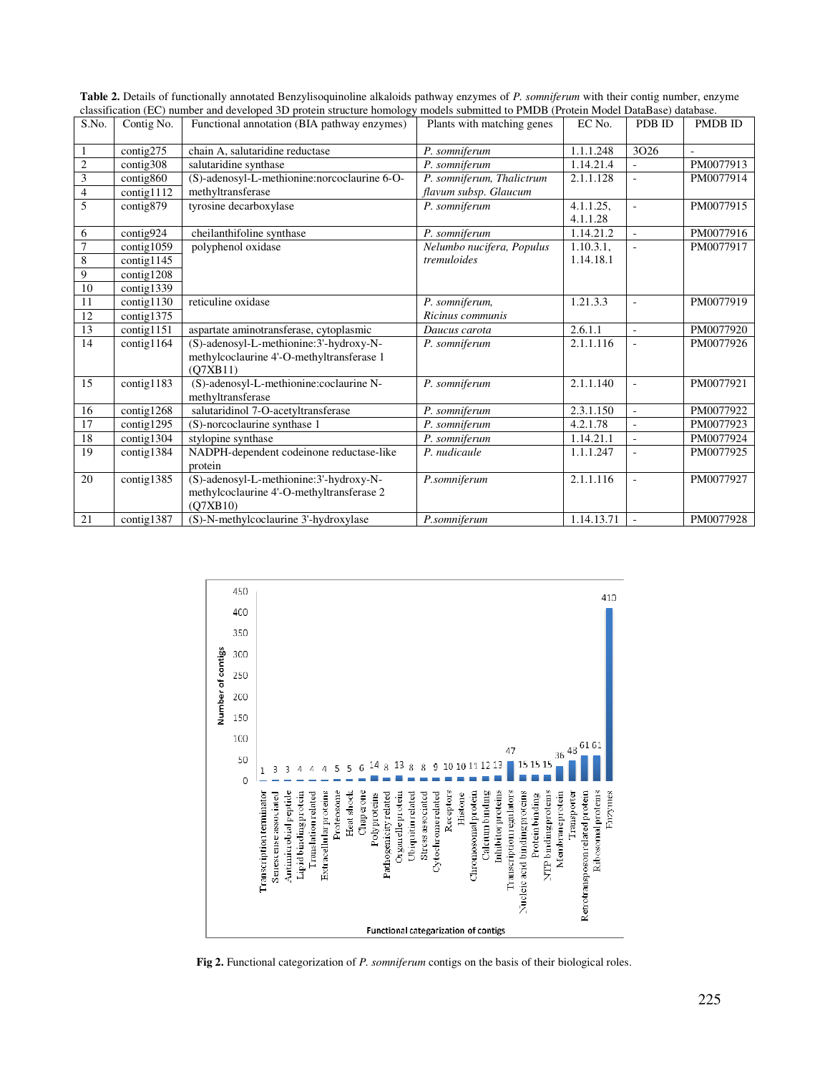| S.No.                   | Contig No.          | Functional annotation (BIA pathway enzymes)  | Plants with matching genes | EC No.     | PDB ID                   | <b>PMDB ID</b> |
|-------------------------|---------------------|----------------------------------------------|----------------------------|------------|--------------------------|----------------|
|                         |                     |                                              |                            |            |                          |                |
| $\mathbf{1}$            | contig275           | chain A, salutaridine reductase              | P. somniferum              | 1.1.1.248  | 3026                     |                |
| $\overline{2}$          | contig308           | salutaridine synthase                        | P. somniferum              | 1.14.21.4  |                          | PM0077913      |
| $\overline{\mathbf{3}}$ | contig860           | (S)-adenosyl-L-methionine:norcoclaurine 6-O- | P. somniferum, Thalictrum  | 2.1.1.128  | $\sim$                   | PM0077914      |
| $\overline{4}$          | contig1112          | methyltransferase                            | flavum subsp. Glaucum      |            |                          |                |
| 5                       | contig879           | tyrosine decarboxylase                       | P. somniferum              | 4.1.1.25,  | $\overline{\phantom{a}}$ | PM0077915      |
|                         |                     |                                              |                            | 4.1.1.28   |                          |                |
| 6                       | contig924           | cheilanthifoline synthase                    | P. somniferum              | 1.14.21.2  | $\Box$                   | PM0077916      |
| $\overline{7}$          | contig1059          | polyphenol oxidase                           | Nelumbo nucifera, Populus  | 1.10.3.1,  |                          | PM0077917      |
| $\,8$                   | $\text{contig1145}$ |                                              | tremuloides                | 1.14.18.1  |                          |                |
| $\overline{9}$          | contig1208          |                                              |                            |            |                          |                |
| 10                      | contig1339          |                                              |                            |            |                          |                |
| 11                      | contig1130          | reticuline oxidase                           | P. somniferum,             | 1.21.3.3   | ÷,                       | PM0077919      |
| 12                      | contig1375          |                                              | Ricinus communis           |            |                          |                |
| 13                      | contig1151          | aspartate aminotransferase, cytoplasmic      | Daucus carota              | 2.6.1.1    | $\sim$                   | PM0077920      |
| 14                      | contig1164          | (S)-adenosyl-L-methionine:3'-hydroxy-N-      | P. somniferum              | 2.1.1.116  | ÷,                       | PM0077926      |
|                         |                     | methylcoclaurine 4'-O-methyltransferase 1    |                            |            |                          |                |
|                         |                     | (O7XB11)                                     |                            |            |                          |                |
| 15                      | contig1183          | (S)-adenosyl-L-methionine:coclaurine N-      | P. somniferum              | 2.1.1.140  | $\sim$                   | PM0077921      |
|                         |                     | methyltransferase                            |                            |            |                          |                |
| 16                      | contig1268          | salutaridinol 7-O-acetyltransferase          | P. somniferum              | 2.3.1.150  | $\sim$                   | PM0077922      |
| 17                      | contig1295          | (S)-norcoclaurine synthase 1                 | P. somniferum              | 4.2.1.78   | $\sim$                   | PM0077923      |
| 18                      | contig1304          | stylopine synthase                           | P. somniferum              | 1.14.21.1  | $\sim$                   | PM0077924      |
| 19                      | contig1384          | NADPH-dependent codeinone reductase-like     | P. nudicaule               | 1.1.1.247  | $\sim$                   | PM0077925      |
|                         |                     | protein                                      |                            |            |                          |                |
| 20                      | contig1385          | (S)-adenosyl-L-methionine:3'-hydroxy-N-      | P.somniferum               | 2.1.1.116  | $\overline{\phantom{a}}$ | PM0077927      |
|                         |                     | methylcoclaurine 4'-O-methyltransferase 2    |                            |            |                          |                |
|                         |                     | (Q7XB10)                                     |                            |            |                          |                |
| 21                      | contig1387          | (S)-N-methylcoclaurine 3'-hydroxylase        | P.somniferum               | 1.14.13.71 | $\sim$                   | PM0077928      |

**Table 2.** Details of functionally annotated Benzylisoquinoline alkaloids pathway enzymes of *P. somniferum* with their contig number, enzyme classification (EC) number and developed 3D protein structure homology models submitted to PMDB (Protein Model DataBase) database.



**Fig 2.** Functional categorization of *P. somniferum* contigs on the basis of their biological roles.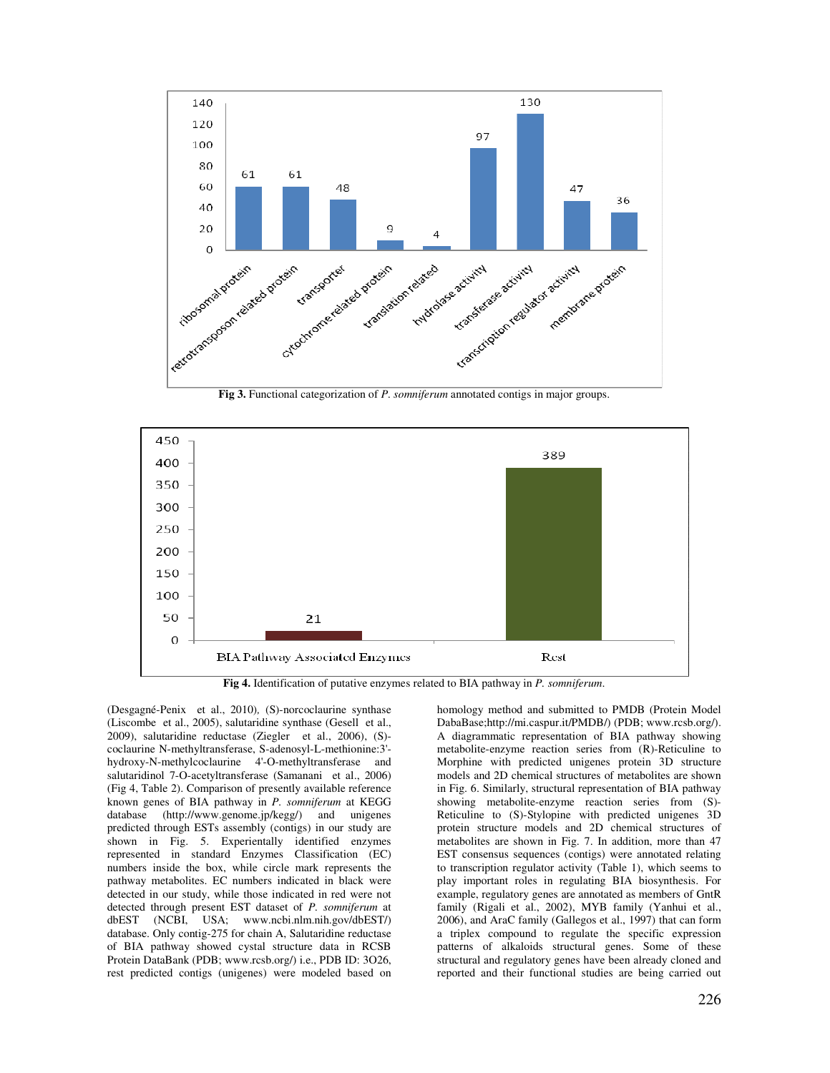



**Fig 4.** Identification of putative enzymes related to BIA pathway in *P. somniferum*.

(Desgagné-Penix et al., 2010)*,* (S)-norcoclaurine synthase (Liscombe et al., 2005), salutaridine synthase (Gesell et al., 2009), salutaridine reductase (Ziegler et al., 2006), (S) coclaurine N-methyltransferase, S-adenosyl-L-methionine:3' hydroxy-N-methylcoclaurine 4'-O-methyltransferase and salutaridinol 7-O-acetyltransferase (Samanani et al., 2006) (Fig 4, Table 2). Comparison of presently available reference known genes of BIA pathway in *P. somniferum* at KEGG database (http://www.genome.jp/kegg/) and unigenes predicted through ESTs assembly (contigs) in our study are shown in Fig. 5. Experientally identified enzymes represented in standard Enzymes Classification (EC) numbers inside the box, while circle mark represents the pathway metabolites. EC numbers indicated in black were detected in our study, while those indicated in red were not detected through present EST dataset of *P. somniferum* at dbEST (NCBI, USA; www.ncbi.nlm.nih.gov/dbEST/) database. Only contig-275 for chain A, Salutaridine reductase of BIA pathway showed cystal structure data in RCSB Protein DataBank (PDB; www.rcsb.org/) i.e., PDB ID: 3O26, rest predicted contigs (unigenes) were modeled based on homology method and submitted to PMDB (Protein Model DabaBase;http://mi.caspur.it/PMDB/) (PDB; www.rcsb.org/). A diagrammatic representation of BIA pathway showing metabolite-enzyme reaction series from (R)-Reticuline to Morphine with predicted unigenes protein 3D structure models and 2D chemical structures of metabolites are shown in Fig. 6. Similarly, structural representation of BIA pathway showing metabolite-enzyme reaction series from (S)- Reticuline to (S)-Stylopine with predicted unigenes 3D protein structure models and 2D chemical structures of metabolites are shown in Fig. 7. In addition, more than 47 EST consensus sequences (contigs) were annotated relating to transcription regulator activity (Table 1), which seems to play important roles in regulating BIA biosynthesis. For example, regulatory genes are annotated as members of GntR family (Rigali et al., 2002), MYB family (Yanhui et al., 2006), and AraC family (Gallegos et al., 1997) that can form a triplex compound to regulate the specific expression patterns of alkaloids structural genes. Some of these structural and regulatory genes have been already cloned and reported and their functional studies are being carried out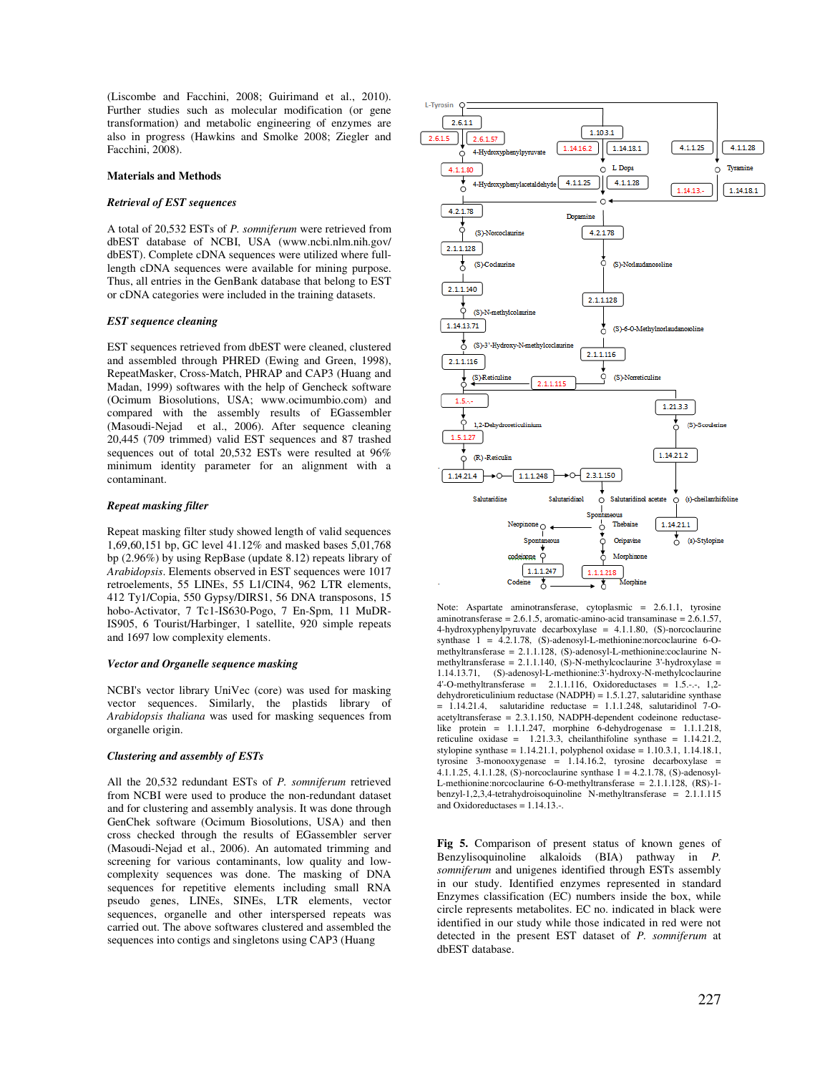(Liscombe and Facchini, 2008; Guirimand et al., 2010). Further studies such as molecular modification (or gene transformation) and metabolic engineering of enzymes are also in progress (Hawkins and Smolke 2008; Ziegler and Facchini, 2008).

#### **Materials and Methods**

#### *Retrieval of EST sequences*

A total of 20,532 ESTs of *P. somniferum* were retrieved from dbEST database of NCBI, USA (www.ncbi.nlm.nih.gov/ dbEST). Complete cDNA sequences were utilized where fulllength cDNA sequences were available for mining purpose. Thus, all entries in the GenBank database that belong to EST or cDNA categories were included in the training datasets.

## *EST sequence cleaning*

EST sequences retrieved from dbEST were cleaned, clustered and assembled through PHRED (Ewing and Green, 1998), RepeatMasker, Cross-Match, PHRAP and CAP3 (Huang and Madan, 1999) softwares with the help of Gencheck software (Ocimum Biosolutions, USA; www.ocimumbio.com) and compared with the assembly results of EGassembler (Masoudi-Nejad et al., 2006). After sequence cleaning 20,445 (709 trimmed) valid EST sequences and 87 trashed sequences out of total 20,532 ESTs were resulted at 96% minimum identity parameter for an alignment with a contaminant.

## *Repeat masking filter*

Repeat masking filter study showed length of valid sequences 1,69,60,151 bp, GC level 41.12% and masked bases 5,01,768 bp (2.96%) by using RepBase (update 8.12) repeats library of *Arabidopsis*. Elements observed in EST sequences were 1017 retroelements, 55 LINEs, 55 L1/CIN4, 962 LTR elements, 412 Ty1/Copia, 550 Gypsy/DIRS1, 56 DNA transposons, 15 hobo-Activator, 7 Tc1-IS630-Pogo, 7 En-Spm, 11 MuDR-IS905, 6 Tourist/Harbinger, 1 satellite, 920 simple repeats and 1697 low complexity elements.

#### *Vector and Organelle sequence masking*

NCBI's vector library UniVec (core) was used for masking vector sequences. Similarly, the plastids library of *Arabidopsis thaliana* was used for masking sequences from organelle origin.

## *Clustering and assembly of ESTs*

All the 20,532 redundant ESTs of *P. somniferum* retrieved from NCBI were used to produce the non-redundant dataset and for clustering and assembly analysis. It was done through GenChek software (Ocimum Biosolutions, USA) and then cross checked through the results of EGassembler server (Masoudi-Nejad et al., 2006). An automated trimming and screening for various contaminants, low quality and lowcomplexity sequences was done. The masking of DNA sequences for repetitive elements including small RNA pseudo genes, LINEs, SINEs, LTR elements, vector sequences, organelle and other interspersed repeats was carried out. The above softwares clustered and assembled the sequences into contigs and singletons using CAP3 (Huang



Note: Aspartate aminotransferase, cytoplasmic = 2.6.1.1, tyrosine aminotransferase = 2.6.1.5, aromatic-amino-acid transaminase = 2.6.1.57, 4-hydroxyphenylpyruvate decarboxylase = 4.1.1.80, (S)-norcoclaurine synthase  $1 = 4.2.1.78$ , (S)-adenosyl-L-methionine:norcoclaurine 6-Omethyltransferase = 2.1.1.128, (S)-adenosyl-L-methionine:coclaurine Nmethyltransferase =  $2.1.1.140$ , (S)-N-methylcoclaurine 3'-hydroxylase = 1.14.13.71, (S)-adenosyl-L-methionine:3'-hydroxy-N-methylcoclaurine  $4$ '-O-methyltransferase =  $2.1.1.116$ , Oxidoreductases =  $1.5.-,-$ ,  $1.2$ dehydroreticulinium reductase (NADPH) = 1.5.1.27, salutaridine synthase  $= 1.14.21.4$ , salutaridine reductase  $= 1.1.1.248$ , salutaridinol 7-Oacetyltransferase = 2.3.1.150, NADPH-dependent codeinone reductaselike protein = 1.1.1.247, morphine 6-dehydrogenase = 1.1.1.218, reticuline oxidase = 1.21.3.3, cheilanthifoline synthase = 1.14.21.2, stylopine synthase = 1.14.21.1, polyphenol oxidase = 1.10.3.1, 1.14.18.1, tyrosine 3-monooxygenase = 1.14.16.2, tyrosine decarboxylase = 4.1.1.25, 4.1.1.28, (S)-norcoclaurine synthase 1 = 4.2.1.78, (S)-adenosyl-L-methionine:norcoclaurine 6-O-methyltransferase = 2.1.1.128, (RS)-1 benzyl-1,2,3,4-tetrahydroisoquinoline N-methyltransferase = 2.1.1.115 and Oxidoreductases  $= 1.14.13...$ 

**Fig 5.** Comparison of present status of known genes of Benzylisoquinoline alkaloids (BIA) pathway in *P. somniferum* and unigenes identified through ESTs assembly in our study. Identified enzymes represented in standard Enzymes classification (EC) numbers inside the box, while circle represents metabolites. EC no. indicated in black were identified in our study while those indicated in red were not detected in the present EST dataset of *P. somniferum* at dbEST database.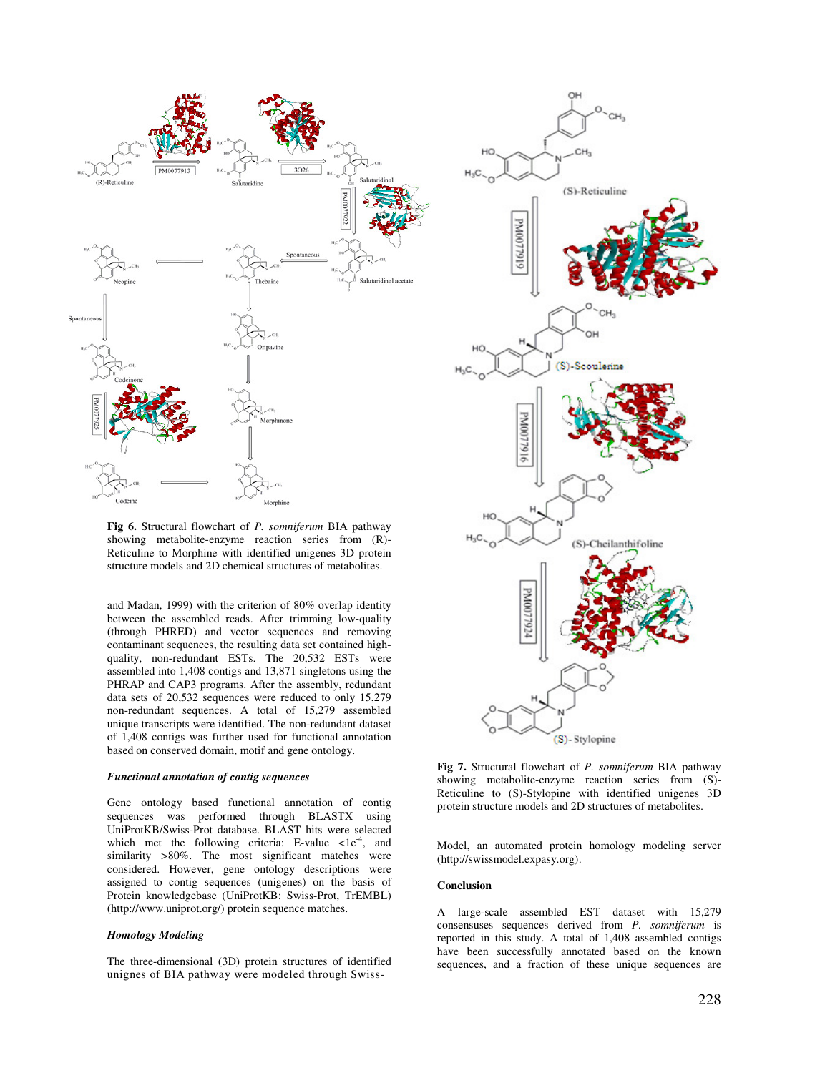

**Fig 6.** Structural flowchart of *P. somniferum* BIA pathway showing metabolite-enzyme reaction series from (R)- Reticuline to Morphine with identified unigenes 3D protein structure models and 2D chemical structures of metabolites.

and Madan, 1999) with the criterion of 80% overlap identity between the assembled reads. After trimming low-quality (through PHRED) and vector sequences and removing contaminant sequences, the resulting data set contained highquality, non-redundant ESTs. The 20,532 ESTs were assembled into 1,408 contigs and 13,871 singletons using the PHRAP and CAP3 programs. After the assembly, redundant data sets of 20,532 sequences were reduced to only 15,279 non-redundant sequences. A total of 15,279 assembled unique transcripts were identified. The non-redundant dataset of 1,408 contigs was further used for functional annotation based on conserved domain, motif and gene ontology.

#### *Functional annotation of contig sequences*

Gene ontology based functional annotation of contig sequences was performed through BLASTX using UniProtKB/Swiss-Prot database. BLAST hits were selected which met the following criteria: E-value  $\langle 1e^4, \text{ and} \rangle$ similarity >80%. The most significant matches were considered. However, gene ontology descriptions were assigned to contig sequences (unigenes) on the basis of Protein knowledgebase (UniProtKB: Swiss-Prot, TrEMBL) (http://www.uniprot.org/) protein sequence matches.

#### *Homology Modeling*

The three-dimensional (3D) protein structures of identified unignes of BIA pathway were modeled through Swiss-



**Fig 7.** Structural flowchart of *P. somniferum* BIA pathway showing metabolite-enzyme reaction series from (S)- Reticuline to (S)-Stylopine with identified unigenes 3D protein structure models and 2D structures of metabolites.

Model, an automated protein homology modeling server (http://swissmodel.expasy.org).

## **Conclusion**

A large-scale assembled EST dataset with 15,279 consensuses sequences derived from *P. somniferum* is reported in this study. A total of 1,408 assembled contigs have been successfully annotated based on the known sequences, and a fraction of these unique sequences are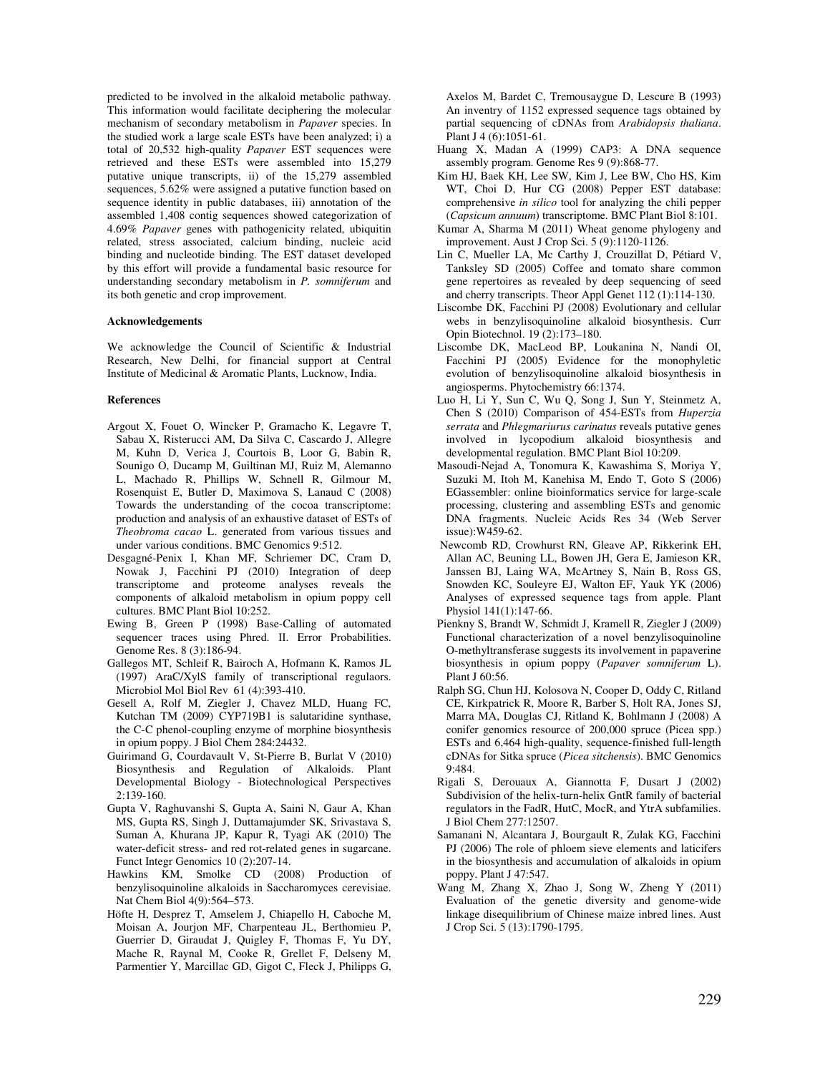predicted to be involved in the alkaloid metabolic pathway. This information would facilitate deciphering the molecular mechanism of secondary metabolism in *Papaver* species. In the studied work a large scale ESTs have been analyzed; i) a total of 20,532 high-quality *Papaver* EST sequences were retrieved and these ESTs were assembled into 15,279 putative unique transcripts, ii) of the 15,279 assembled sequences, 5.62% were assigned a putative function based on sequence identity in public databases, iii) annotation of the assembled 1,408 contig sequences showed categorization of 4.69% *Papaver* genes with pathogenicity related, ubiquitin related, stress associated, calcium binding, nucleic acid binding and nucleotide binding. The EST dataset developed by this effort will provide a fundamental basic resource for understanding secondary metabolism in *P. somniferum* and its both genetic and crop improvement.

## **Acknowledgements**

We acknowledge the Council of Scientific & Industrial Research, New Delhi, for financial support at Central Institute of Medicinal & Aromatic Plants, Lucknow, India.

#### **References**

- Argout X, Fouet O, Wincker P, Gramacho K, Legavre T, Sabau X, Risterucci AM, Da Silva C, Cascardo J, Allegre M, Kuhn D, Verica J, Courtois B, Loor G, Babin R, Sounigo O, Ducamp M, Guiltinan MJ, Ruiz M, Alemanno L, Machado R, Phillips W, Schnell R, Gilmour M, Rosenquist E, Butler D, Maximova S, Lanaud C (2008) Towards the understanding of the cocoa transcriptome: production and analysis of an exhaustive dataset of ESTs of *Theobroma cacao* L. generated from various tissues and under various conditions. BMC Genomics 9:512.
- Desgagné-Penix I, Khan MF, Schriemer DC, Cram D, Nowak J, Facchini PJ (2010) Integration of deep transcriptome and proteome analyses reveals the components of alkaloid metabolism in opium poppy cell cultures. BMC Plant Biol 10:252.
- Ewing B, Green P (1998) Base-Calling of automated sequencer traces using Phred. II. Error Probabilities. Genome Res. 8 (3):186-94.
- Gallegos MT, Schleif R, Bairoch A, Hofmann K, Ramos JL (1997) AraC/XylS family of transcriptional regulaors. Microbiol Mol Biol Rev 61 (4):393-410.
- Gesell A, Rolf M, Ziegler J, Chavez MLD, Huang FC, Kutchan TM (2009) CYP719B1 is salutaridine synthase, the C-C phenol-coupling enzyme of morphine biosynthesis in opium poppy. J Biol Chem 284:24432.
- Guirimand G, Courdavault V, St-Pierre B, Burlat V (2010) Biosynthesis and Regulation of Alkaloids. Plant Developmental Biology - Biotechnological Perspectives 2:139-160.
- Gupta V, Raghuvanshi S, Gupta A, Saini N, Gaur A, Khan MS, Gupta RS, Singh J, Duttamajumder SK, Srivastava S, Suman A, Khurana JP, Kapur R, Tyagi AK (2010) The water-deficit stress- and red rot-related genes in sugarcane. Funct Integr Genomics 10 (2):207-14.
- Hawkins KM, Smolke CD (2008) Production of benzylisoquinoline alkaloids in Saccharomyces cerevisiae. Nat Chem Biol 4(9):564–573.
- Höfte H, Desprez T, Amselem J, Chiapello H, Caboche M, Moisan A, Jourjon MF, Charpenteau JL, Berthomieu P, Guerrier D, Giraudat J, Quigley F, Thomas F, Yu DY, Mache R, Raynal M, Cooke R, Grellet F, Delseny M, Parmentier Y, Marcillac GD, Gigot C, Fleck J, Philipps G,

Axelos M, Bardet C, Tremousaygue D, Lescure B (1993) An inventry of 1152 expressed sequence tags obtained by partial sequencing of cDNAs from *Arabidopsis thaliana*. Plant J 4 (6):1051-61.

- Huang X, Madan A (1999) CAP3: A DNA sequence assembly program. Genome Res 9 (9):868-77.
- Kim HJ, Baek KH, Lee SW, Kim J, Lee BW, Cho HS, Kim WT, Choi D, Hur CG (2008) Pepper EST database: comprehensive *in silico* tool for analyzing the chili pepper (*Capsicum annuum*) transcriptome. BMC Plant Biol 8:101.
- Kumar A, Sharma M (2011) Wheat genome phylogeny and improvement. Aust J Crop Sci. 5 (9):1120-1126.
- Lin C, Mueller LA, Mc Carthy J, Crouzillat D, Pétiard V, Tanksley SD (2005) Coffee and tomato share common gene repertoires as revealed by deep sequencing of seed and cherry transcripts. Theor Appl Genet 112 (1):114-130.
- Liscombe DK, Facchini PJ (2008) Evolutionary and cellular webs in benzylisoquinoline alkaloid biosynthesis. Curr Opin Biotechnol. 19 (2):173–180.
- Liscombe DK, MacLeod BP, Loukanina N, Nandi OI, Facchini PJ (2005) Evidence for the monophyletic evolution of benzylisoquinoline alkaloid biosynthesis in angiosperms. Phytochemistry 66:1374.
- Luo H, Li Y, Sun C, Wu Q, Song J, Sun Y, Steinmetz A, Chen S (2010) Comparison of 454-ESTs from *Huperzia serrata* and *Phlegmariurus carinatus* reveals putative genes involved in lycopodium alkaloid biosynthesis and developmental regulation. BMC Plant Biol 10:209.
- Masoudi-Nejad A, Tonomura K, Kawashima S, Moriya Y, Suzuki M, Itoh M, Kanehisa M, Endo T, Goto S (2006) EGassembler: online bioinformatics service for large-scale processing, clustering and assembling ESTs and genomic DNA fragments. Nucleic Acids Res 34 (Web Server issue):W459-62.
- Newcomb RD, Crowhurst RN, Gleave AP, Rikkerink EH, Allan AC, Beuning LL, Bowen JH, Gera E, Jamieson KR, Janssen BJ, Laing WA, McArtney S, Nain B, Ross GS, Snowden KC, Souleyre EJ, Walton EF, Yauk YK (2006) Analyses of expressed sequence tags from apple. Plant Physiol 141(1):147-66.
- Pienkny S, Brandt W, Schmidt J, Kramell R, Ziegler J (2009) Functional characterization of a novel benzylisoquinoline O-methyltransferase suggests its involvement in papaverine biosynthesis in opium poppy (*Papaver somniferum* L). Plant J 60:56.
- Ralph SG, Chun HJ, Kolosova N, Cooper D, Oddy C, Ritland CE, Kirkpatrick R, Moore R, Barber S, Holt RA, Jones SJ, Marra MA, Douglas CJ, Ritland K, Bohlmann J (2008) A conifer genomics resource of 200,000 spruce (Picea spp.) ESTs and 6,464 high-quality, sequence-finished full-length cDNAs for Sitka spruce (*Picea sitchensis*). BMC Genomics 9:484.
- Rigali S, Derouaux A, Giannotta F, Dusart J (2002) Subdivision of the helix-turn-helix GntR family of bacterial regulators in the FadR, HutC, MocR, and YtrA subfamilies. J Biol Chem 277:12507.
- Samanani N, Alcantara J, Bourgault R, Zulak KG, Facchini PJ (2006) The role of phloem sieve elements and laticifers in the biosynthesis and accumulation of alkaloids in opium poppy. Plant J 47:547.
- Wang M, Zhang X, Zhao J, Song W, Zheng Y (2011) Evaluation of the genetic diversity and genome-wide linkage disequilibrium of Chinese maize inbred lines. Aust J Crop Sci. 5 (13):1790-1795.